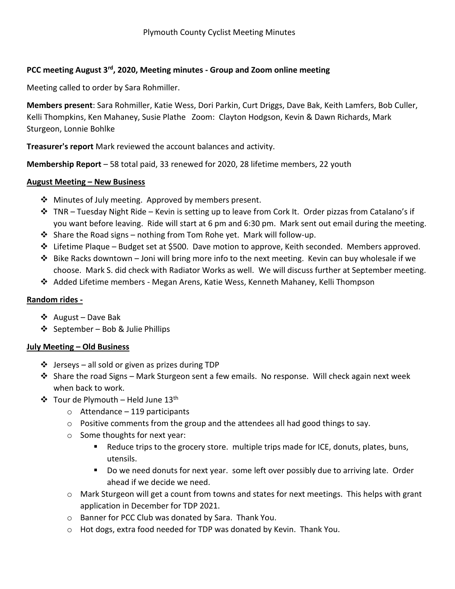## **PCC meeting August 3rd , 2020, Meeting minutes - Group and Zoom online meeting**

Meeting called to order by Sara Rohmiller.

**Members present**: Sara Rohmiller, Katie Wess, Dori Parkin, Curt Driggs, Dave Bak, Keith Lamfers, Bob Culler, Kelli Thompkins, Ken Mahaney, Susie Plathe Zoom: Clayton Hodgson, Kevin & Dawn Richards, Mark Sturgeon, Lonnie Bohlke

**Treasurer's report** Mark reviewed the account balances and activity.

**Membership Report** – 58 total paid, 33 renewed for 2020, 28 lifetime members, 22 youth

## **August Meeting – New Business**

- $\cdot$  Minutes of July meeting. Approved by members present.
- $\div$  TNR Tuesday Night Ride Kevin is setting up to leave from Cork It. Order pizzas from Catalano's if you want before leaving. Ride will start at 6 pm and 6:30 pm. Mark sent out email during the meeting.
- Share the Road signs nothing from Tom Rohe yet. Mark will follow-up.
- $\div$  Lifetime Plaque Budget set at \$500. Dave motion to approve, Keith seconded. Members approved.
- $\clubsuit$  Bike Racks downtown Joni will bring more info to the next meeting. Kevin can buy wholesale if we choose. Mark S. did check with Radiator Works as well. We will discuss further at September meeting.
- Added Lifetime members Megan Arens, Katie Wess, Kenneth Mahaney, Kelli Thompson

## **Random rides -**

- August Dave Bak
- $\div$  September Bob & Julie Phillips

## **July Meeting – Old Business**

- $\cdot \cdot$  Jerseys all sold or given as prizes during TDP
- $\div$  Share the road Signs Mark Sturgeon sent a few emails. No response. Will check again next week when back to work.
- $\div$  Tour de Plymouth Held June 13<sup>th</sup>
	- $\circ$  Attendance 119 participants
	- o Positive comments from the group and the attendees all had good things to say.
	- o Some thoughts for next year:
		- Reduce trips to the grocery store. multiple trips made for ICE, donuts, plates, buns, utensils.
		- **Do we need donuts for next year. some left over possibly due to arriving late. Order** ahead if we decide we need.
	- $\circ$  Mark Sturgeon will get a count from towns and states for next meetings. This helps with grant application in December for TDP 2021.
	- o Banner for PCC Club was donated by Sara. Thank You.
	- o Hot dogs, extra food needed for TDP was donated by Kevin. Thank You.